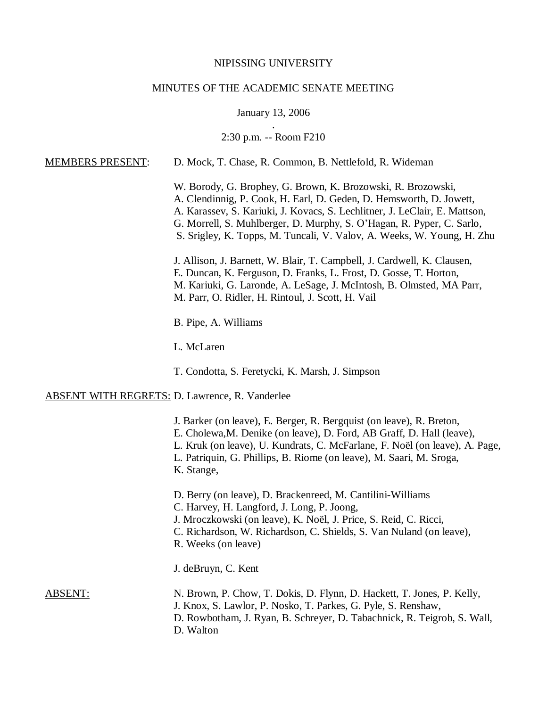# NIPISSING UNIVERSITY

# MINUTES OF THE ACADEMIC SENATE MEETING

# January 13, 2006

### . 2:30 p.m. -- Room F210

| <b>MEMBERS PRESENT:</b>                               | D. Mock, T. Chase, R. Common, B. Nettlefold, R. Wideman                                                                                                                                                                                                                                                                                                              |  |  |
|-------------------------------------------------------|----------------------------------------------------------------------------------------------------------------------------------------------------------------------------------------------------------------------------------------------------------------------------------------------------------------------------------------------------------------------|--|--|
|                                                       | W. Borody, G. Brophey, G. Brown, K. Brozowski, R. Brozowski,<br>A. Clendinnig, P. Cook, H. Earl, D. Geden, D. Hemsworth, D. Jowett,<br>A. Karassev, S. Kariuki, J. Kovacs, S. Lechlitner, J. LeClair, E. Mattson,<br>G. Morrell, S. Muhlberger, D. Murphy, S. O'Hagan, R. Pyper, C. Sarlo,<br>S. Srigley, K. Topps, M. Tuncali, V. Valov, A. Weeks, W. Young, H. Zhu |  |  |
|                                                       | J. Allison, J. Barnett, W. Blair, T. Campbell, J. Cardwell, K. Clausen,<br>E. Duncan, K. Ferguson, D. Franks, L. Frost, D. Gosse, T. Horton,<br>M. Kariuki, G. Laronde, A. LeSage, J. McIntosh, B. Olmsted, MA Parr,<br>M. Parr, O. Ridler, H. Rintoul, J. Scott, H. Vail                                                                                            |  |  |
|                                                       | B. Pipe, A. Williams                                                                                                                                                                                                                                                                                                                                                 |  |  |
|                                                       | L. McLaren                                                                                                                                                                                                                                                                                                                                                           |  |  |
|                                                       | T. Condotta, S. Feretycki, K. Marsh, J. Simpson                                                                                                                                                                                                                                                                                                                      |  |  |
| <b>ABSENT WITH REGRETS: D. Lawrence, R. Vanderlee</b> |                                                                                                                                                                                                                                                                                                                                                                      |  |  |
|                                                       | J. Barker (on leave), E. Berger, R. Bergquist (on leave), R. Breton,<br>E. Cholewa, M. Denike (on leave), D. Ford, AB Graff, D. Hall (leave),<br>L. Kruk (on leave), U. Kundrats, C. McFarlane, F. Noël (on leave), A. Page,<br>L. Patriquin, G. Phillips, B. Riome (on leave), M. Saari, M. Sroga,<br>K. Stange,                                                    |  |  |
|                                                       | D. Berry (on leave), D. Brackenreed, M. Cantilini-Williams<br>C. Harvey, H. Langford, J. Long, P. Joong,<br>J. Mroczkowski (on leave), K. Noël, J. Price, S. Reid, C. Ricci,<br>C. Richardson, W. Richardson, C. Shields, S. Van Nuland (on leave),<br>R. Weeks (on leave)                                                                                           |  |  |
|                                                       | J. deBruyn, C. Kent                                                                                                                                                                                                                                                                                                                                                  |  |  |
| <u>ABSENT:</u>                                        | N. Brown, P. Chow, T. Dokis, D. Flynn, D. Hackett, T. Jones, P. Kelly,<br>J. Knox, S. Lawlor, P. Nosko, T. Parkes, G. Pyle, S. Renshaw,<br>D. Rowbotham, J. Ryan, B. Schreyer, D. Tabachnick, R. Teigrob, S. Wall,<br>D. Walton                                                                                                                                      |  |  |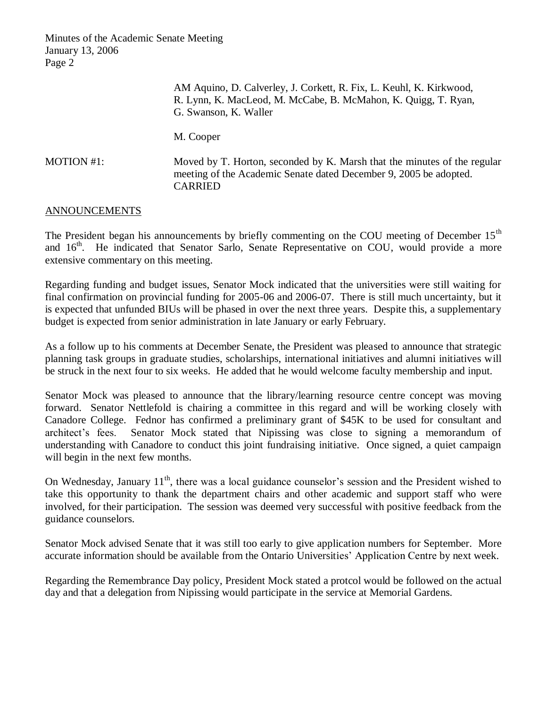|            | AM Aquino, D. Calverley, J. Corkett, R. Fix, L. Keuhl, K. Kirkwood,<br>R. Lynn, K. MacLeod, M. McCabe, B. McMahon, K. Quigg, T. Ryan,<br>G. Swanson, K. Waller  |  |  |
|------------|-----------------------------------------------------------------------------------------------------------------------------------------------------------------|--|--|
|            | M. Cooper                                                                                                                                                       |  |  |
| MOTION #1: | Moved by T. Horton, seconded by K. Marsh that the minutes of the regular<br>meeting of the Academic Senate dated December 9, 2005 be adopted.<br><b>CARRIED</b> |  |  |

### ANNOUNCEMENTS

The President began his announcements by briefly commenting on the COU meeting of December 15<sup>th</sup> and 16<sup>th</sup>. He indicated that Senator Sarlo, Senate Representative on COU, would provide a more extensive commentary on this meeting.

Regarding funding and budget issues, Senator Mock indicated that the universities were still waiting for final confirmation on provincial funding for 2005-06 and 2006-07. There is still much uncertainty, but it is expected that unfunded BIUs will be phased in over the next three years. Despite this, a supplementary budget is expected from senior administration in late January or early February.

As a follow up to his comments at December Senate, the President was pleased to announce that strategic planning task groups in graduate studies, scholarships, international initiatives and alumni initiatives will be struck in the next four to six weeks. He added that he would welcome faculty membership and input.

Senator Mock was pleased to announce that the library/learning resource centre concept was moving forward. Senator Nettlefold is chairing a committee in this regard and will be working closely with Canadore College. Fednor has confirmed a preliminary grant of \$45K to be used for consultant and architect's fees. Senator Mock stated that Nipissing was close to signing a memorandum of understanding with Canadore to conduct this joint fundraising initiative. Once signed, a quiet campaign will begin in the next few months.

On Wednesday, January  $11<sup>th</sup>$ , there was a local guidance counselor's session and the President wished to take this opportunity to thank the department chairs and other academic and support staff who were involved, for their participation. The session was deemed very successful with positive feedback from the guidance counselors.

Senator Mock advised Senate that it was still too early to give application numbers for September. More accurate information should be available from the Ontario Universities' Application Centre by next week.

Regarding the Remembrance Day policy, President Mock stated a protcol would be followed on the actual day and that a delegation from Nipissing would participate in the service at Memorial Gardens.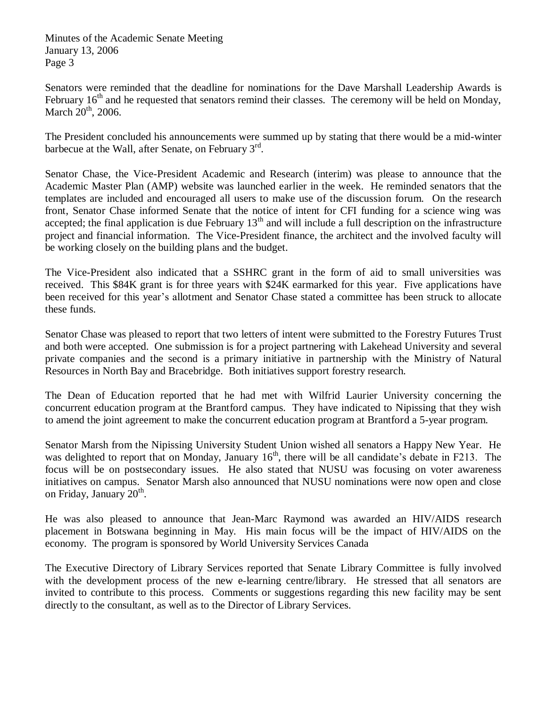Senators were reminded that the deadline for nominations for the Dave Marshall Leadership Awards is February  $16<sup>th</sup>$  and he requested that senators remind their classes. The ceremony will be held on Monday, March  $20<sup>th</sup>$ , 2006.

The President concluded his announcements were summed up by stating that there would be a mid-winter barbecue at the Wall, after Senate, on February 3<sup>rd</sup>.

Senator Chase, the Vice-President Academic and Research (interim) was please to announce that the Academic Master Plan (AMP) website was launched earlier in the week. He reminded senators that the templates are included and encouraged all users to make use of the discussion forum. On the research front, Senator Chase informed Senate that the notice of intent for CFI funding for a science wing was accepted; the final application is due February  $13<sup>th</sup>$  and will include a full description on the infrastructure project and financial information. The Vice-President finance, the architect and the involved faculty will be working closely on the building plans and the budget.

The Vice-President also indicated that a SSHRC grant in the form of aid to small universities was received. This \$84K grant is for three years with \$24K earmarked for this year. Five applications have been received for this year's allotment and Senator Chase stated a committee has been struck to allocate these funds.

Senator Chase was pleased to report that two letters of intent were submitted to the Forestry Futures Trust and both were accepted. One submission is for a project partnering with Lakehead University and several private companies and the second is a primary initiative in partnership with the Ministry of Natural Resources in North Bay and Bracebridge. Both initiatives support forestry research.

The Dean of Education reported that he had met with Wilfrid Laurier University concerning the concurrent education program at the Brantford campus. They have indicated to Nipissing that they wish to amend the joint agreement to make the concurrent education program at Brantford a 5-year program.

Senator Marsh from the Nipissing University Student Union wished all senators a Happy New Year. He was delighted to report that on Monday, January 16<sup>th</sup>, there will be all candidate's debate in F213. The focus will be on postsecondary issues. He also stated that NUSU was focusing on voter awareness initiatives on campus. Senator Marsh also announced that NUSU nominations were now open and close on Friday, January  $20^{\text{th}}$ .

He was also pleased to announce that Jean-Marc Raymond was awarded an HIV/AIDS research placement in Botswana beginning in May. His main focus will be the impact of HIV/AIDS on the economy. The program is sponsored by World University Services Canada

The Executive Directory of Library Services reported that Senate Library Committee is fully involved with the development process of the new e-learning centre/library. He stressed that all senators are invited to contribute to this process. Comments or suggestions regarding this new facility may be sent directly to the consultant, as well as to the Director of Library Services.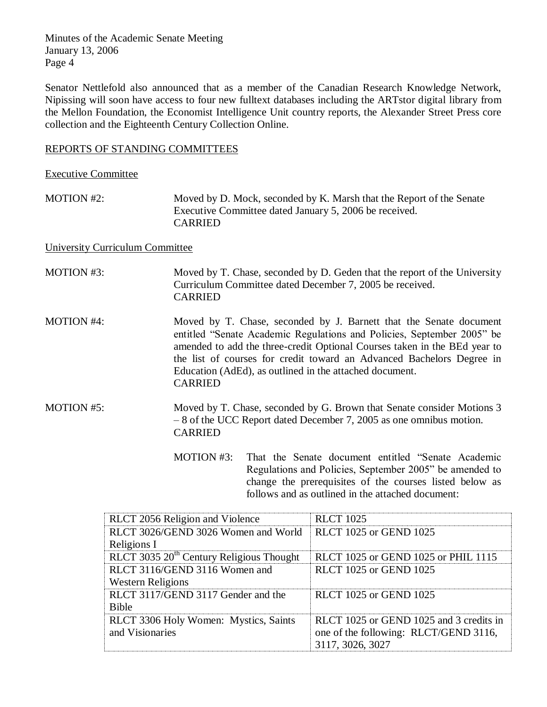Senator Nettlefold also announced that as a member of the Canadian Research Knowledge Network, Nipissing will soon have access to four new fulltext databases including the ARTstor digital library from the Mellon Foundation, the Economist Intelligence Unit country reports, the Alexander Street Press core collection and the Eighteenth Century Collection Online.

# REPORTS OF STANDING COMMITTEES

Executive Committee

MOTION #2: Moved by D. Mock, seconded by K. Marsh that the Report of the Senate Executive Committee dated January 5, 2006 be received. CARRIED

University Curriculum Committee

MOTION #3: Moved by T. Chase, seconded by D. Geden that the report of the University Curriculum Committee dated December 7, 2005 be received. CARRIED

MOTION #4: Moved by T. Chase, seconded by J. Barnett that the Senate document entitled "Senate Academic Regulations and Policies, September 2005" be amended to add the three-credit Optional Courses taken in the BEd year to the list of courses for credit toward an Advanced Bachelors Degree in Education (AdEd), as outlined in the attached document. CARRIED

- MOTION #5: Moved by T. Chase, seconded by G. Brown that Senate consider Motions 3 – 8 of the UCC Report dated December 7, 2005 as one omnibus motion. CARRIED
	- MOTION #3: That the Senate document entitled "Senate Academic Regulations and Policies, September 2005" be amended to change the prerequisites of the courses listed below as follows and as outlined in the attached document:

| RLCT 2056 Religion and Violence                      | <b>RLCT</b> 1025                        |
|------------------------------------------------------|-----------------------------------------|
| RLCT 3026/GEND 3026 Women and World<br>Religions I   | <b>RLCT</b> 1025 or GEND 1025           |
| RLCT 3035 20 <sup>th</sup> Century Religious Thought | RLCT 1025 or GEND 1025 or PHIL 1115     |
| RLCT 3116/GEND 3116 Women and                        | <b>RLCT</b> 1025 or GEND 1025           |
| <b>Western Religions</b>                             |                                         |
| RLCT 3117/GEND 3117 Gender and the                   | <b>RLCT 1025 or GEND 1025</b>           |
| <b>Bible</b>                                         |                                         |
| RLCT 3306 Holy Women: Mystics, Saints                | RLCT 1025 or GEND 1025 and 3 credits in |
| and Visionaries                                      | one of the following: RLCT/GEND 3116,   |
|                                                      | 3117, 3026, 3027                        |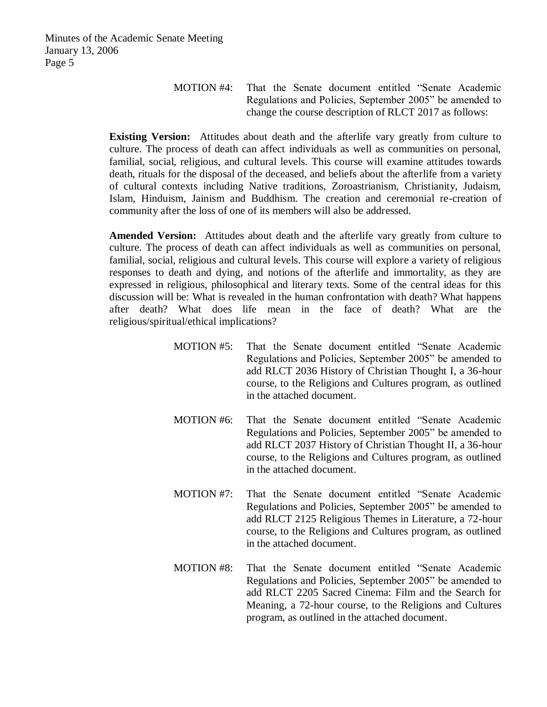MOTION #4: That the Senate document entitled "Senate Academic Regulations and Policies, September 2005" be amended to change the course description of RLCT 2017 as follows:

**Existing Version:** Attitudes about death and the afterlife vary greatly from culture to culture. The process of death can affect individuals as well as communities on personal, familial, social, religious, and cultural levels. This course will examine attitudes towards death, rituals for the disposal of the deceased, and beliefs about the afterlife from a variety of cultural contexts including Native traditions, Zoroastrianism, Christianity, Judaism, Islam, Hinduism, Jainism and Buddhism. The creation and ceremonial re-creation of community after the loss of one of its members will also be addressed.

**Amended Version:** Attitudes about death and the afterlife vary greatly from culture to culture. The process of death can affect individuals as well as communities on personal, familial, social, religious and cultural levels. This course will explore a variety of religious responses to death and dying, and notions of the afterlife and immortality, as they are expressed in religious, philosophical and literary texts. Some of the central ideas for this discussion will be: What is revealed in the human confrontation with death? What happens after death? What does life mean in the face of death? What are the religious/spiritual/ethical implications?

- MOTION #5: That the Senate document entitled "Senate Academic Regulations and Policies, September 2005" be amended to add RLCT 2036 History of Christian Thought I, a 36-hour course, to the Religions and Cultures program, as outlined in the attached document.
- MOTION #6: That the Senate document entitled "Senate Academic Regulations and Policies, September 2005" be amended to add RLCT 2037 History of Christian Thought II, a 36-hour course, to the Religions and Cultures program, as outlined in the attached document.
- MOTION #7: That the Senate document entitled "Senate Academic Regulations and Policies, September 2005" be amended to add RLCT 2125 Religious Themes in Literature, a 72-hour course, to the Religions and Cultures program, as outlined in the attached document.
- MOTION #8: That the Senate document entitled "Senate Academic Regulations and Policies, September 2005" be amended to add RLCT 2205 Sacred Cinema: Film and the Search for Meaning, a 72-hour course, to the Religions and Cultures program, as outlined in the attached document.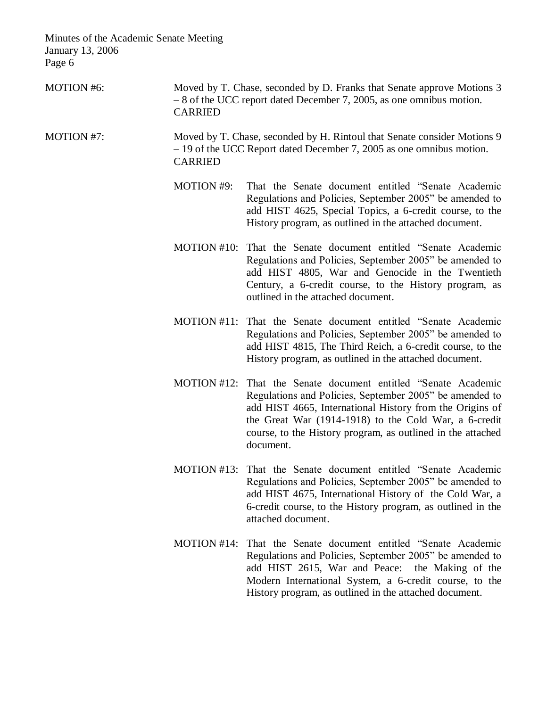MOTION #6: Moved by T. Chase, seconded by D. Franks that Senate approve Motions 3 – 8 of the UCC report dated December 7, 2005, as one omnibus motion. CARRIED MOTION #7: Moved by T. Chase, seconded by H. Rintoul that Senate consider Motions 9 – 19 of the UCC Report dated December 7, 2005 as one omnibus motion. CARRIED MOTION #9: That the Senate document entitled "Senate Academic Regulations and Policies, September 2005" be amended to add HIST 4625, Special Topics, a 6-credit course, to the History program, as outlined in the attached document. MOTION #10: That the Senate document entitled "Senate Academic Regulations and Policies, September 2005" be amended to add HIST 4805, War and Genocide in the Twentieth Century, a 6-credit course, to the History program, as outlined in the attached document. MOTION #11: That the Senate document entitled "Senate Academic Regulations and Policies, September 2005" be amended to add HIST 4815, The Third Reich, a 6-credit course, to the History program, as outlined in the attached document. MOTION #12: That the Senate document entitled "Senate Academic Regulations and Policies, September 2005" be amended to add HIST 4665, International History from the Origins of the Great War (1914-1918) to the Cold War, a 6-credit course, to the History program, as outlined in the attached document. MOTION #13: That the Senate document entitled "Senate Academic Regulations and Policies, September 2005" be amended to add HIST 4675, International History of the Cold War, a 6-credit course, to the History program, as outlined in the attached document. MOTION #14: That the Senate document entitled "Senate Academic Regulations and Policies, September 2005" be amended to add HIST 2615, War and Peace: the Making of the Modern International System, a 6-credit course, to the History program, as outlined in the attached document.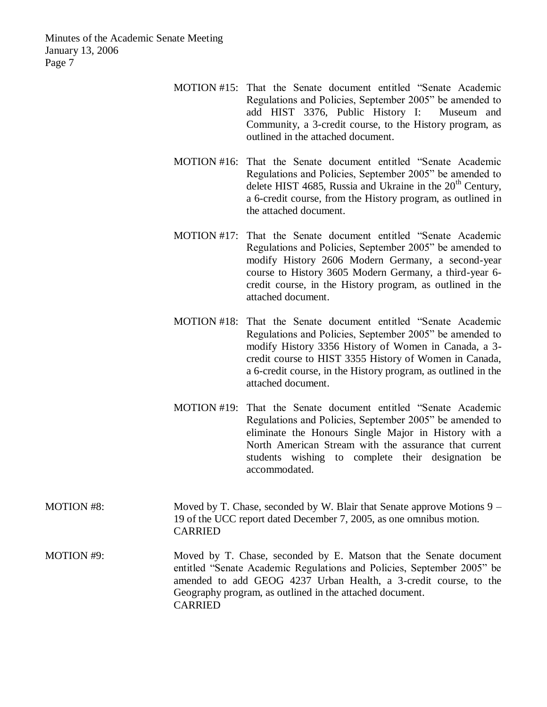- MOTION #15: That the Senate document entitled "Senate Academic Regulations and Policies, September 2005" be amended to add HIST 3376, Public History I: Museum and Community, a 3-credit course, to the History program, as outlined in the attached document.
- MOTION #16: That the Senate document entitled "Senate Academic Regulations and Policies, September 2005" be amended to delete HIST 4685, Russia and Ukraine in the  $20<sup>th</sup>$  Century. a 6-credit course, from the History program, as outlined in the attached document.
- MOTION #17: That the Senate document entitled "Senate Academic Regulations and Policies, September 2005" be amended to modify History 2606 Modern Germany, a second-year course to History 3605 Modern Germany, a third-year 6 credit course, in the History program, as outlined in the attached document.
- MOTION #18: That the Senate document entitled "Senate Academic Regulations and Policies, September 2005" be amended to modify History 3356 History of Women in Canada, a 3 credit course to HIST 3355 History of Women in Canada, a 6-credit course, in the History program, as outlined in the attached document.
- MOTION #19: That the Senate document entitled "Senate Academic Regulations and Policies, September 2005" be amended to eliminate the Honours Single Major in History with a North American Stream with the assurance that current students wishing to complete their designation be accommodated.

| <b>MOTION #8:</b> | Moved by T. Chase, seconded by W. Blair that Senate approve Motions $9 -$<br>19 of the UCC report dated December 7, 2005, as one omnibus motion.<br><b>CARRIED</b>                                                                                                                            |
|-------------------|-----------------------------------------------------------------------------------------------------------------------------------------------------------------------------------------------------------------------------------------------------------------------------------------------|
| MOTION #9:        | Moved by T. Chase, seconded by E. Matson that the Senate document<br>entitled "Senate Academic Regulations and Policies, September 2005" be<br>amended to add GEOG 4237 Urban Health, a 3-credit course, to the<br>Geography program, as outlined in the attached document.<br><b>CARRIED</b> |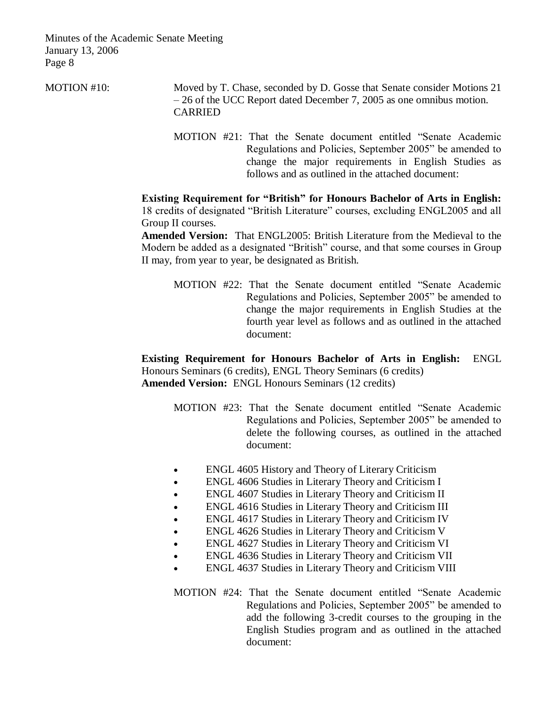MOTION #10: Moved by T. Chase, seconded by D. Gosse that Senate consider Motions 21 – 26 of the UCC Report dated December 7, 2005 as one omnibus motion. CARRIED

> MOTION #21: That the Senate document entitled "Senate Academic Regulations and Policies, September 2005" be amended to change the major requirements in English Studies as follows and as outlined in the attached document:

**Existing Requirement for "British" for Honours Bachelor of Arts in English:** 18 credits of designated "British Literature" courses, excluding ENGL2005 and all Group II courses.

**Amended Version:** That ENGL2005: British Literature from the Medieval to the Modern be added as a designated "British" course, and that some courses in Group II may, from year to year, be designated as British.

MOTION #22: That the Senate document entitled "Senate Academic Regulations and Policies, September 2005" be amended to change the major requirements in English Studies at the fourth year level as follows and as outlined in the attached document:

**Existing Requirement for Honours Bachelor of Arts in English:** ENGL Honours Seminars (6 credits), ENGL Theory Seminars (6 credits) **Amended Version:** ENGL Honours Seminars (12 credits)

- MOTION #23: That the Senate document entitled "Senate Academic Regulations and Policies, September 2005" be amended to delete the following courses, as outlined in the attached document:
- ENGL 4605 History and Theory of Literary Criticism
- ENGL 4606 Studies in Literary Theory and Criticism I
- ENGL 4607 Studies in Literary Theory and Criticism II
- ENGL 4616 Studies in Literary Theory and Criticism III
- ENGL 4617 Studies in Literary Theory and Criticism IV
- ENGL 4626 Studies in Literary Theory and Criticism V
- ENGL 4627 Studies in Literary Theory and Criticism VI
- ENGL 4636 Studies in Literary Theory and Criticism VII
- ENGL 4637 Studies in Literary Theory and Criticism VIII
- MOTION #24: That the Senate document entitled "Senate Academic Regulations and Policies, September 2005" be amended to add the following 3-credit courses to the grouping in the English Studies program and as outlined in the attached document: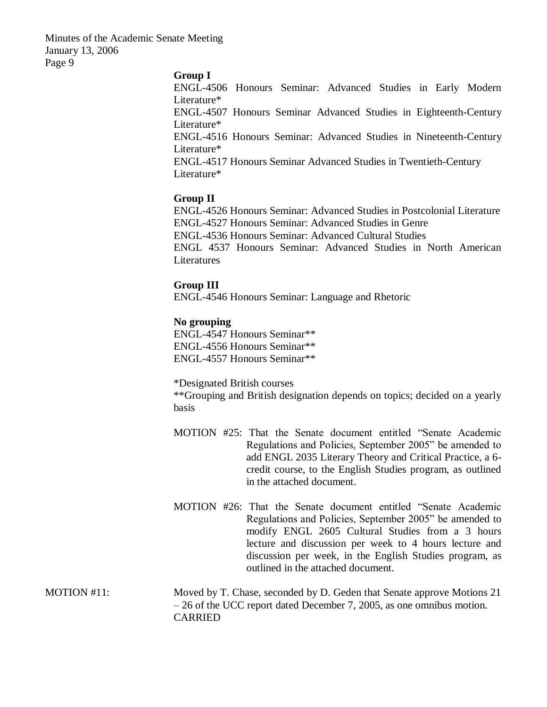#### **Group I**

ENGL-4506 Honours Seminar: Advanced Studies in Early Modern Literature\*

ENGL-4507 Honours Seminar Advanced Studies in Eighteenth-Century Literature\*

ENGL-4516 Honours Seminar: Advanced Studies in Nineteenth-Century Literature\*

ENGL-4517 Honours Seminar Advanced Studies in Twentieth-Century Literature\*

#### **Group II**

ENGL-4526 Honours Seminar: Advanced Studies in Postcolonial Literature ENGL-4527 Honours Seminar: Advanced Studies in Genre ENGL-4536 Honours Seminar: Advanced Cultural Studies ENGL 4537 Honours Seminar: Advanced Studies in North American **Literatures** 

#### **Group III**

ENGL-4546 Honours Seminar: Language and Rhetoric

## **No grouping**

ENGL-4547 Honours Seminar\*\* ENGL-4556 Honours Seminar\*\* ENGL-4557 Honours Seminar\*\*

\*Designated British courses \*\*Grouping and British designation depends on topics; decided on a yearly basis

- MOTION #25: That the Senate document entitled "Senate Academic Regulations and Policies, September 2005" be amended to add ENGL 2035 Literary Theory and Critical Practice, a 6 credit course, to the English Studies program, as outlined in the attached document.
- MOTION #26: That the Senate document entitled "Senate Academic Regulations and Policies, September 2005" be amended to modify ENGL 2605 Cultural Studies from a 3 hours lecture and discussion per week to 4 hours lecture and discussion per week, in the English Studies program, as outlined in the attached document.
- MOTION #11: Moved by T. Chase, seconded by D. Geden that Senate approve Motions 21 – 26 of the UCC report dated December 7, 2005, as one omnibus motion. CARRIED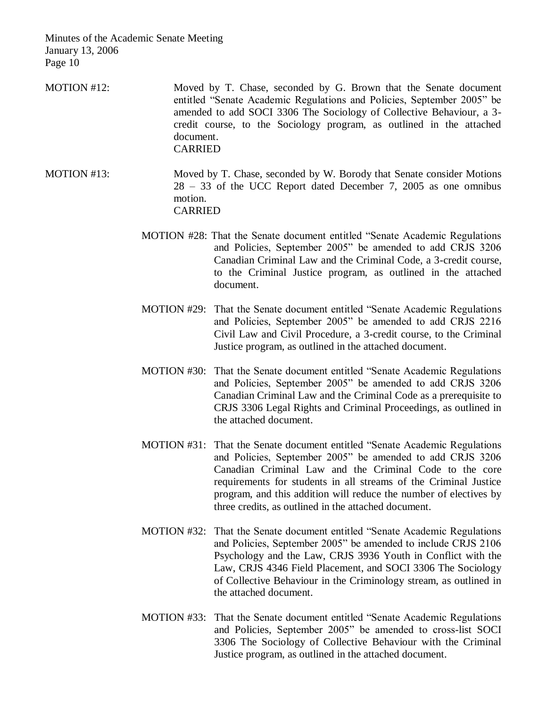- MOTION #12: Moved by T. Chase, seconded by G. Brown that the Senate document entitled "Senate Academic Regulations and Policies, September 2005" be amended to add SOCI 3306 The Sociology of Collective Behaviour, a 3 credit course, to the Sociology program, as outlined in the attached document. CARRIED
- MOTION #13: Moved by T. Chase, seconded by W. Borody that Senate consider Motions 28 – 33 of the UCC Report dated December 7, 2005 as one omnibus motion. CARRIED
	- MOTION #28: That the Senate document entitled "Senate Academic Regulations and Policies, September 2005" be amended to add CRJS 3206 Canadian Criminal Law and the Criminal Code, a 3-credit course, to the Criminal Justice program, as outlined in the attached document.
	- MOTION #29: That the Senate document entitled "Senate Academic Regulations and Policies, September 2005" be amended to add CRJS 2216 Civil Law and Civil Procedure, a 3-credit course, to the Criminal Justice program, as outlined in the attached document.
	- MOTION #30: That the Senate document entitled "Senate Academic Regulations and Policies, September 2005" be amended to add CRJS 3206 Canadian Criminal Law and the Criminal Code as a prerequisite to CRJS 3306 Legal Rights and Criminal Proceedings, as outlined in the attached document.
	- MOTION #31: That the Senate document entitled "Senate Academic Regulations and Policies, September 2005" be amended to add CRJS 3206 Canadian Criminal Law and the Criminal Code to the core requirements for students in all streams of the Criminal Justice program, and this addition will reduce the number of electives by three credits, as outlined in the attached document.
	- MOTION #32: That the Senate document entitled "Senate Academic Regulations and Policies, September 2005" be amended to include CRJS 2106 Psychology and the Law, CRJS 3936 Youth in Conflict with the Law, CRJS 4346 Field Placement, and SOCI 3306 The Sociology of Collective Behaviour in the Criminology stream, as outlined in the attached document.
	- MOTION #33: That the Senate document entitled "Senate Academic Regulations and Policies, September 2005" be amended to cross-list SOCI 3306 The Sociology of Collective Behaviour with the Criminal Justice program, as outlined in the attached document.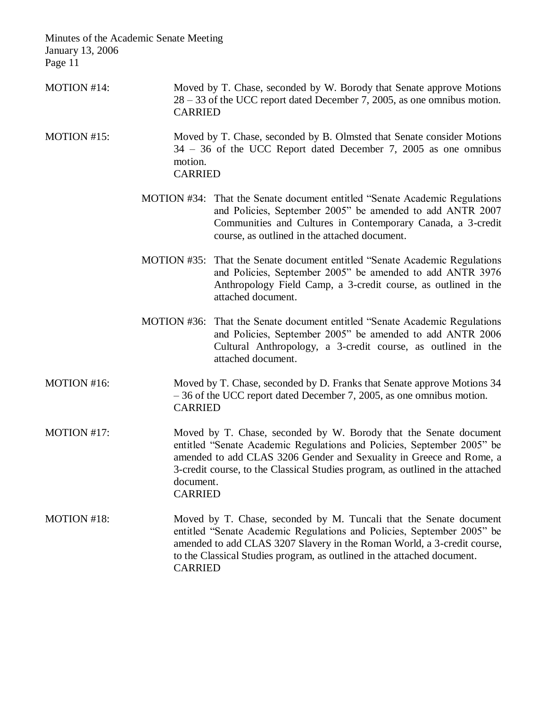- MOTION #14: Moved by T. Chase, seconded by W. Borody that Senate approve Motions 28 – 33 of the UCC report dated December 7, 2005, as one omnibus motion. CARRIED
- MOTION #15: Moved by T. Chase, seconded by B. Olmsted that Senate consider Motions 34 – 36 of the UCC Report dated December 7, 2005 as one omnibus motion. CARRIED
	- MOTION #34: That the Senate document entitled "Senate Academic Regulations and Policies, September 2005" be amended to add ANTR 2007 Communities and Cultures in Contemporary Canada, a 3-credit course, as outlined in the attached document.
	- MOTION #35: That the Senate document entitled "Senate Academic Regulations and Policies, September 2005" be amended to add ANTR 3976 Anthropology Field Camp, a 3-credit course, as outlined in the attached document.
	- MOTION #36: That the Senate document entitled "Senate Academic Regulations and Policies, September 2005" be amended to add ANTR 2006 Cultural Anthropology, a 3-credit course, as outlined in the attached document.
- MOTION #16: Moved by T. Chase, seconded by D. Franks that Senate approve Motions 34 – 36 of the UCC report dated December 7, 2005, as one omnibus motion. CARRIED
- MOTION #17: Moved by T. Chase, seconded by W. Borody that the Senate document entitled "Senate Academic Regulations and Policies, September 2005" be amended to add CLAS 3206 Gender and Sexuality in Greece and Rome, a 3-credit course, to the Classical Studies program, as outlined in the attached document. CARRIED
- MOTION #18: Moved by T. Chase, seconded by M. Tuncali that the Senate document entitled "Senate Academic Regulations and Policies, September 2005" be amended to add CLAS 3207 Slavery in the Roman World, a 3-credit course, to the Classical Studies program, as outlined in the attached document. CARRIED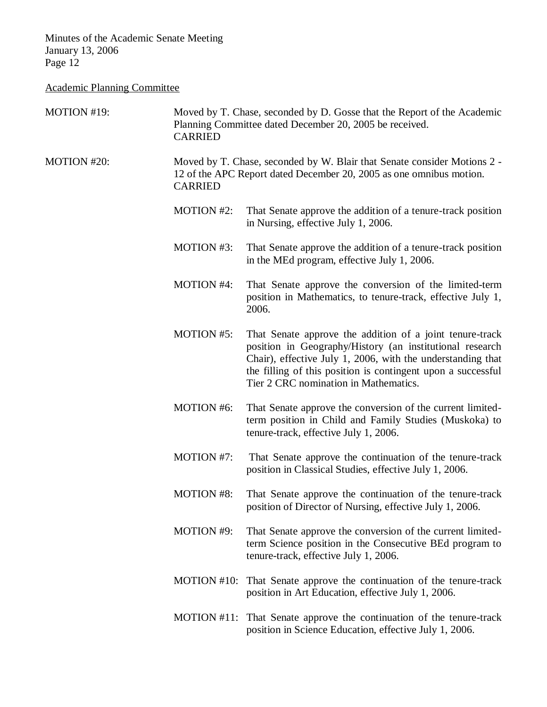# Academic Planning Committee

| MOTION #19: | Moved by T. Chase, seconded by D. Gosse that the Report of the Academic<br>Planning Committee dated December 20, 2005 be received.<br><b>CARRIED</b>              |                                                                                                                                                                                                                                                                                              |  |
|-------------|-------------------------------------------------------------------------------------------------------------------------------------------------------------------|----------------------------------------------------------------------------------------------------------------------------------------------------------------------------------------------------------------------------------------------------------------------------------------------|--|
| MOTION #20: | Moved by T. Chase, seconded by W. Blair that Senate consider Motions 2 -<br>12 of the APC Report dated December 20, 2005 as one omnibus motion.<br><b>CARRIED</b> |                                                                                                                                                                                                                                                                                              |  |
|             | <b>MOTION #2:</b>                                                                                                                                                 | That Senate approve the addition of a tenure-track position<br>in Nursing, effective July 1, 2006.                                                                                                                                                                                           |  |
|             | <b>MOTION #3:</b>                                                                                                                                                 | That Senate approve the addition of a tenure-track position<br>in the MEd program, effective July 1, 2006.                                                                                                                                                                                   |  |
|             | <b>MOTION #4:</b>                                                                                                                                                 | That Senate approve the conversion of the limited-term<br>position in Mathematics, to tenure-track, effective July 1,<br>2006.                                                                                                                                                               |  |
|             | <b>MOTION #5:</b>                                                                                                                                                 | That Senate approve the addition of a joint tenure-track<br>position in Geography/History (an institutional research<br>Chair), effective July 1, 2006, with the understanding that<br>the filling of this position is contingent upon a successful<br>Tier 2 CRC nomination in Mathematics. |  |
|             | <b>MOTION #6:</b>                                                                                                                                                 | That Senate approve the conversion of the current limited-<br>term position in Child and Family Studies (Muskoka) to<br>tenure-track, effective July 1, 2006.                                                                                                                                |  |
|             | MOTION #7:                                                                                                                                                        | That Senate approve the continuation of the tenure-track<br>position in Classical Studies, effective July 1, 2006.                                                                                                                                                                           |  |
|             | <b>MOTION #8:</b>                                                                                                                                                 | That Senate approve the continuation of the tenure-track<br>position of Director of Nursing, effective July 1, 2006.                                                                                                                                                                         |  |
|             | <b>MOTION #9:</b>                                                                                                                                                 | That Senate approve the conversion of the current limited-<br>term Science position in the Consecutive BEd program to<br>tenure-track, effective July 1, 2006.                                                                                                                               |  |
|             | MOTION #10:                                                                                                                                                       | That Senate approve the continuation of the tenure-track<br>position in Art Education, effective July 1, 2006.                                                                                                                                                                               |  |
|             |                                                                                                                                                                   | MOTION #11: That Senate approve the continuation of the tenure-track<br>position in Science Education, effective July 1, 2006.                                                                                                                                                               |  |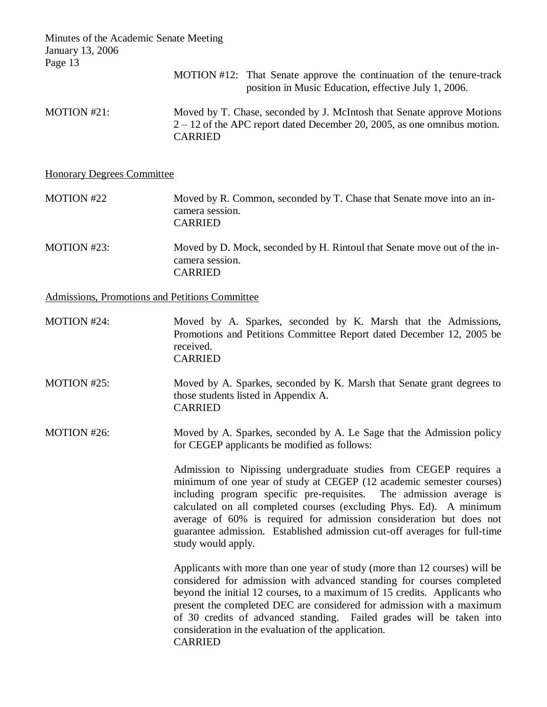MOTION #12: That Senate approve the continuation of the tenure-track position in Music Education, effective July 1, 2006.

MOTION #21: Moved by T. Chase, seconded by J. McIntosh that Senate approve Motions 2 – 12 of the APC report dated December 20, 2005, as one omnibus motion. CARRIED

#### Honorary Degrees Committee

# MOTION #22 Moved by R. Common, seconded by T. Chase that Senate move into an incamera session. CARRIED

MOTION #23: Moved by D. Mock, seconded by H. Rintoul that Senate move out of the incamera session. CARRIED

Admissions, Promotions and Petitions Committee

- MOTION #24: Moved by A. Sparkes, seconded by K. Marsh that the Admissions, Promotions and Petitions Committee Report dated December 12, 2005 be received. CARRIED
- MOTION #25: Moved by A. Sparkes, seconded by K. Marsh that Senate grant degrees to those students listed in Appendix A. CARRIED

MOTION #26: Moved by A. Sparkes, seconded by A. Le Sage that the Admission policy for CEGEP applicants be modified as follows:

> Admission to Nipissing undergraduate studies from CEGEP requires a minimum of one year of study at CEGEP (12 academic semester courses) including program specific pre-requisites. The admission average is calculated on all completed courses (excluding Phys. Ed). A minimum average of 60% is required for admission consideration but does not guarantee admission. Established admission cut-off averages for full-time study would apply.

> Applicants with more than one year of study (more than 12 courses) will be considered for admission with advanced standing for courses completed beyond the initial 12 courses, to a maximum of 15 credits. Applicants who present the completed DEC are considered for admission with a maximum of 30 credits of advanced standing. Failed grades will be taken into consideration in the evaluation of the application. CARRIED